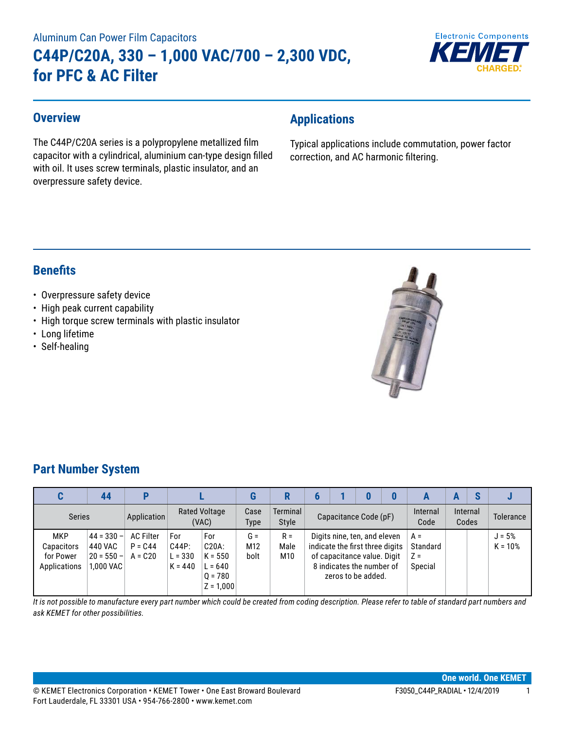# Aluminum Can Power Film Capacitors **C44P/C20A, 330 – 1,000 VAC/700 – 2,300 VDC, for PFC & AC Filter**



### **Overview**

The C44P/C20A series is a polypropylene metallized film capacitor with a cylindrical, aluminium can-type design filled with oil. It uses screw terminals, plastic insulator, and an overpressure safety device.

# **Applications**

Typical applications include commutation, power factor correction, and AC harmonic filtering.

### **Benefits**

### • Overpressure safety device

- High peak current capability
- High torque screw terminals with plastic insulator
- Long lifetime
- Self-healing



### **Part Number System**

|                                                       | 44                                                      |                                             |                                        |                                                                    |                                  |                          |                                                                                                                                                   |  |                  |                                       | E                        |           |                       |
|-------------------------------------------------------|---------------------------------------------------------|---------------------------------------------|----------------------------------------|--------------------------------------------------------------------|----------------------------------|--------------------------|---------------------------------------------------------------------------------------------------------------------------------------------------|--|------------------|---------------------------------------|--------------------------|-----------|-----------------------|
| <b>Series</b>                                         |                                                         | Application                                 | <b>Rated Voltage</b><br>(VAC)          |                                                                    | Case<br><b>Type</b>              | <b>Terminal</b><br>Style | Capacitance Code (pF)                                                                                                                             |  | Internal<br>Code |                                       | <b>Internal</b><br>Codes | Tolerance |                       |
| <b>MKP</b><br>Capacitors<br>for Power<br>Applications | $44 = 330 -$<br>440 VAC<br>$ 20 = 550 -  $<br>1.000 VAC | <b>AC Filter</b><br>$P = C.44$<br>$A = C20$ | For<br>C44P:<br>$L = 330$<br>$K = 440$ | For<br>C20A:<br>$K = 550$<br>$L = 640$<br>$0 = 780$<br>$Z = 1,000$ | $G =$<br>M <sub>12</sub><br>bolt | $R =$<br>Male<br>M10     | Digits nine, ten, and eleven<br>indicate the first three digits<br>of capacitance value. Digit<br>8 indicates the number of<br>zeros to be added. |  |                  | $A =$<br>Standard<br>$Z =$<br>Special |                          |           | $J = 5%$<br>$K = 10%$ |

*It is not possible to manufacture every part number which could be created from coding description. Please refer to table of standard part numbers and ask KEMET for other possibilities.*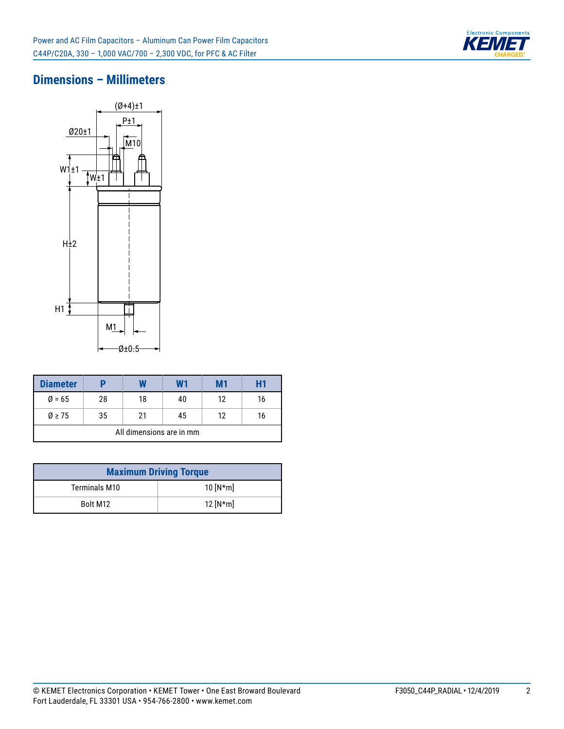

### **Dimensions – Millimeters**



| <b>Diameter</b>          |    |    | W1 | M1 | Η1 |  |  |
|--------------------------|----|----|----|----|----|--|--|
| $Ø = 65$                 | 28 | 18 | 40 | 12 | 16 |  |  |
| $\varnothing$ > 75       | 35 | 21 | 45 | 12 | 16 |  |  |
| All dimensions are in mm |    |    |    |    |    |  |  |

| <b>Maximum Driving Torque</b> |            |  |  |  |  |
|-------------------------------|------------|--|--|--|--|
| Terminals M10                 | 10 $[N*m]$ |  |  |  |  |
| Bolt M12                      | 12 $[N*m]$ |  |  |  |  |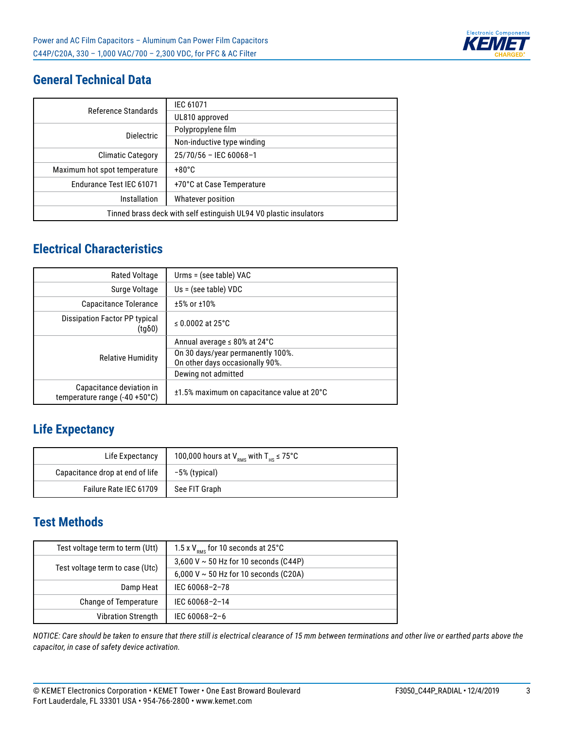

# **General Technical Data**

| Reference Standards                                               | IEC 61071                  |  |  |  |
|-------------------------------------------------------------------|----------------------------|--|--|--|
|                                                                   | UL810 approved             |  |  |  |
| <b>Dielectric</b>                                                 | Polypropylene film         |  |  |  |
|                                                                   | Non-inductive type winding |  |  |  |
| <b>Climatic Category</b>                                          | $25/70/56$ - IEC 60068-1   |  |  |  |
| Maximum hot spot temperature                                      | $+80^{\circ}$ C            |  |  |  |
| Endurance Test IEC 61071                                          | +70°C at Case Temperature  |  |  |  |
| Installation                                                      | Whatever position          |  |  |  |
| Tinned brass deck with self estinguish UL94 V0 plastic insulators |                            |  |  |  |

# **Electrical Characteristics**

| <b>Rated Voltage</b>                                                | Urms = (see table) VAC                     |
|---------------------------------------------------------------------|--------------------------------------------|
| Surge Voltage                                                       | $Us = (see table) VDC$                     |
| Capacitance Tolerance                                               | $±5%$ or $±10%$                            |
| Dissipation Factor PP typical<br>$(tg\delta 0)$                     | ≤ 0.0002 at 25 $°C$                        |
|                                                                     | Annual average $\leq 80\%$ at 24°C         |
| <b>Relative Humidity</b>                                            | On 30 days/year permanently 100%.          |
|                                                                     | On other days occasionally 90%.            |
|                                                                     | Dewing not admitted                        |
| Capacitance deviation in<br>temperature range $(-40 + 50^{\circ}C)$ | ±1.5% maximum on capacitance value at 20°C |

### **Life Expectancy**

| Life Expectancy                 | 100,000 hours at $V_{\text{PMS}}$ with $T_{\text{HS}} \le 75^{\circ}C$ |
|---------------------------------|------------------------------------------------------------------------|
| Capacitance drop at end of life | -5% (typical)                                                          |
| Failure Rate IEC 61709          | See FIT Graph                                                          |

### **Test Methods**

| Test voltage term to term (Utt) | 1.5 x $V_{\text{\tiny{PMS}}}$ for 10 seconds at 25°C |
|---------------------------------|------------------------------------------------------|
|                                 | 3,600 V $\sim$ 50 Hz for 10 seconds (C44P)           |
| Test voltage term to case (Utc) | 6,000 V $\sim$ 50 Hz for 10 seconds (C20A)           |
| Damp Heat                       | IEC 60068-2-78                                       |
| <b>Change of Temperature</b>    | IEC 60068-2-14                                       |
| <b>Vibration Strength</b>       | IEC 60068-2-6                                        |

*NOTICE: Care should be taken to ensure that there still is electrical clearance of 15 mm between terminations and other live or earthed parts above the capacitor, in case of safety device activation.*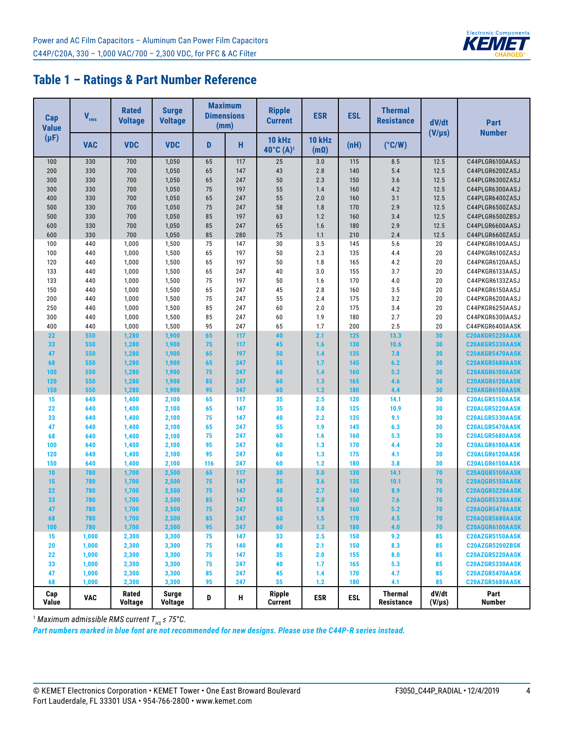

### **Table 1 – Ratings & Part Number Reference**

| <b>Cap</b><br><b>Value</b> | $V_{rms}$      | <b>Rated</b><br><b>Voltage</b> | <b>Surge</b><br><b>Voltage</b> |          | <b>Maximum</b><br><b>Dimensions</b><br>(mm) | <b>Ripple</b><br><b>Current</b>        | <b>ESR</b>                   | <b>ESL</b> | <b>Thermal</b><br><b>Resistance</b> | dV/dt<br>$(V/\mu s)$ | Part<br><b>Number</b>              |  |
|----------------------------|----------------|--------------------------------|--------------------------------|----------|---------------------------------------------|----------------------------------------|------------------------------|------------|-------------------------------------|----------------------|------------------------------------|--|
| $(\mu F)$                  | <b>VAC</b>     | <b>VDC</b>                     | <b>VDC</b>                     | н<br>D   |                                             | <b>10 kHz</b><br>40°C (A) <sup>1</sup> | <b>10 kHz</b><br>$(m\Omega)$ | (nH)       | $(^{\circ}C/W)$                     |                      |                                    |  |
| 100                        | 330            | 700                            | 1,050                          | 65       | 117                                         | 25                                     | 3.0                          | 115        | 8.5                                 | 12.5                 | C44PLGR6100AASJ                    |  |
| 200                        | 330            | 700                            | 1,050                          | 65       | 147                                         | 43                                     | 2.8                          | 140        | 5.4                                 | 12.5                 | C44PLGR6200ZASJ                    |  |
| 300                        | 330            | 700                            | 1,050                          | 65       | 247                                         | 50                                     | 2.3                          | 150        | 3.6                                 | 12.5                 | C44PLGR6300ZASJ                    |  |
| 300                        | 330            | 700                            | 1,050                          | 75       | 197                                         | 55                                     | 1.4                          | 160        | 4.2                                 | 12.5                 | C44PLGR6300AASJ                    |  |
| 400                        | 330            | 700                            | 1,050                          | 65       | 247                                         | 55                                     | 2.0                          | 160        | 3.1                                 | 12.5                 | C44PLGR6400ZASJ                    |  |
| 500                        | 330            | 700                            | 1,050                          | 75       | 247                                         | 58                                     | 1.8                          | 170        | 2.9                                 | 12.5                 | C44PLGR6500ZASJ                    |  |
| 500                        | 330            | 700                            | 1,050                          | 85       | 197                                         | 63                                     | 1.2                          | 160        | 3.4                                 | 12.5                 | C44PLGR6500ZBSJ                    |  |
| 600                        | 330            | 700                            | 1,050                          | 85       | 247                                         | 65                                     | 1.6                          | 180        | 2.9                                 | 12.5                 | C44PLGR6600AASJ                    |  |
| 600                        | 330            | 700                            | 1,050                          | 85       | 280                                         | 75                                     | 1.1                          | 210        | 2.4                                 | 12.5                 | C44PLGR6600ZASJ                    |  |
| 100                        | 440            | 1,000                          | 1,500                          | 75       | 147                                         | 30                                     | 3.5                          | 145        | 5.6                                 | 20                   | C44PKGR6100AASJ                    |  |
| 100                        | 440            | 1,000                          | 1,500                          | 65       | 197                                         | 50                                     | 2.3                          | 135        | 4.4                                 | 20                   | C44PKGR6100ZASJ                    |  |
| 120                        | 440            | 1,000                          | 1,500                          | 65       | 197                                         | 50                                     | 1.8                          | 165        | 4.2                                 | 20                   | C44PKGR6120AASJ                    |  |
| 133                        | 440            | 1,000                          | 1,500                          | 65       | 247                                         | 40                                     | 3.0                          | 155        | 3.7                                 | 20                   | C44PKGR6133AASJ                    |  |
| 133                        | 440            | 1,000                          | 1,500                          | 75       | 197                                         | 50                                     | 1.6                          | 170        | 4.0                                 | 20                   | C44PKGR6133ZASJ                    |  |
| 150                        | 440            | 1,000                          | 1,500                          | 65       | 247                                         | 45                                     | 2.8                          | 160        | 3.5                                 | 20                   | C44PKGR6150AASJ                    |  |
| 200                        | 440            | 1,000                          | 1,500                          | 75       | 247                                         | 55                                     | 2.4                          | 175        | 3.2                                 | 20                   | C44PKGR6200AASJ                    |  |
| 250                        | 440            | 1,000                          | 1,500                          | 85       | 247                                         | 60                                     | 2.0                          | 175        | 3.4                                 | 20                   | C44PKGR6250AASJ                    |  |
| 300                        | 440            | 1,000                          | 1,500                          | 85       | 247                                         | 60                                     | 1.9                          | 180        | 2.7                                 | 20                   | C44PKGR6300AASJ                    |  |
| 400                        | 440            | 1,000                          | 1,500                          | 95       | 247                                         | 65                                     | 1.7                          | 200        | 2.5                                 | 20                   | C44PKGR6400AASK                    |  |
| 22                         | 550            | 1,280                          | 1,900                          | 65       | 117                                         | 40                                     | 2.1                          | 125        | 13.3                                | 30                   | C20AKGR5220AASK                    |  |
| 33                         | 550            | 1,280                          | 1,900                          | 75       | 117                                         | 45                                     | 1.6                          | 130        | 10.6                                | 30                   | C20AKGR5330AASK                    |  |
| 47                         | 550            | 1,280                          | 1,900                          | 65       | 197                                         | 50                                     | 1.4                          | 135        | 7.8                                 | 30                   | C20AKGR5470AASK                    |  |
| 68                         | 550            | 1,280                          | 1,900                          | 65       | 247                                         | 55                                     | 1.7                          | 145        | 6.2                                 | 30                   | C20AKGR5680AASK                    |  |
| 100                        | 550            | 1,280                          | 1,900                          | 75       | 247                                         | 60                                     | 1.4                          | 160        | 5.2                                 | 30                   | C20AKGR6100AASK                    |  |
| 120                        | 550            | 1,280                          | 1,900                          | 85       | 247                                         | 60                                     | 1.3                          | 165        | 4.6                                 | 30                   | C20AKGR6120AASK                    |  |
| 150                        | 550            | 1,280                          | 1,900                          | 95       | 247                                         | 60                                     | 1.2                          | 180        | 4.4                                 | 30                   | C20AKGR6150AASK                    |  |
| 15                         | 640            | 1,400                          | 2,100                          | 65       | 117                                         | 35                                     | 2.5                          | 120        | 14.1                                | 30                   | C20ALGR5150AASK                    |  |
| 22                         | 640            | 1,400                          | 2,100                          | 65       | 147                                         | 35                                     | 3.0                          | 125        | 10.9                                | 30                   | C20ALGR5220AASK                    |  |
| 33                         | 640            | 1,400                          | 2,100                          | 75       | 147                                         | 40                                     | 2.2                          | 135        | 9.1                                 | 30                   | C20ALGR5330AASK                    |  |
| 47                         | 640            | 1,400                          | 2,100                          | 65       | 247                                         | 55                                     | 1.9                          | 145        | 6.3                                 | 30                   | C20ALGR5470AASK                    |  |
| 68                         | 640            | 1,400                          | 2,100                          | 75       | 247                                         | 60                                     | 1.6                          | 160        | 5.3                                 | 30                   | C20ALGR5680AASK                    |  |
| 100                        | 640            | 1,400                          | 2,100                          | 95       | 247                                         | 60                                     | 1.3                          | 170        | 4.4                                 | 30                   | C20ALGR6100AASK                    |  |
| 120                        | 640            | 1,400                          | 2,100                          | 95       | 247                                         | 60                                     | 1.3                          | 175        | 4.1                                 | 30                   | C20ALGR6120AASK                    |  |
| 150                        | 640            | 1,400                          | 2,100                          | 116      | 247                                         | 60                                     | 1.2                          | 180        | 3.8                                 | 30                   | C20ALGR6150AASK                    |  |
| 10                         | 780            | 1,700                          | 2,500                          | 65       | 117                                         | 30                                     | 3.0                          | 130        | 14.1                                | 70<br>70             | C20AQGR5100AASK                    |  |
| 15                         | 780            | 1,700                          | 2,500                          | 75       | 147                                         | 35                                     | 3.6                          | 135        | 10.1                                |                      | C20AQGR5150AASK                    |  |
| 22                         | 780            | 1,700                          | 2,500                          | 75       | 147                                         | 40                                     | 2.7                          | 140        | 8.9                                 | 70                   | C20AQGR5220AASK                    |  |
| 33                         | 780            | 1,700                          | 2,500                          | 85       | 147                                         | 50<br>55                               | 2.0                          | 150        | 7.6                                 | 70                   | C20AQGR5330AASK                    |  |
| 47<br>68                   | 780<br>780     | 1,700                          | 2,500                          | 75       | 247<br>247                                  | 60                                     | 1.8                          | 160<br>170 | $5.2$                               | 70<br>70             | C20AQGR5470AASK                    |  |
|                            |                | 1,700                          | 2,500                          | 85       |                                             |                                        | 1.5                          |            | 4.5                                 |                      | C20AQGR5680AASK                    |  |
| 100<br>15                  | 780<br>1,000   | 1,700<br>2,300                 | 2,500<br>3,300                 | 95<br>75 | 247<br>147                                  | 60<br>33                               | 1.3<br>2.5                   | 180<br>150 | 4.0<br>9.2                          | 70<br>85             | C20AQGR6100AASK                    |  |
|                            |                |                                |                                |          |                                             |                                        |                              |            |                                     |                      | C20AZGR5150AASK                    |  |
| 20<br>22                   | 1,000<br>1,000 | 2,300<br>2,300                 | 3,300<br>3,300                 | 75<br>75 | 140<br>147                                  | 40<br>35                               | 2.1<br>2.0                   | 150<br>155 | 8.3<br>8.0                          | 85<br>85             | C20AZGR5200ZBSK                    |  |
| 33                         | 1,000          | 2,300                          | 3,300                          | 75       | 247                                         | 40                                     | 1.7                          | 165        | 5.3                                 | 85                   | C20AZGR5220AASK<br>C20AZGR5330AASK |  |
| 47                         | 1,000          | 2,300                          | 3,300                          | 85       | 247                                         | 45                                     | 1.4                          | 170        | 4.7                                 | 85                   | C20AZGR5470AASK                    |  |
| 68                         | 1,000          | 2,300                          | 3,300                          | 95       | 247                                         | 55                                     | 1.2                          | 180        | 4.1                                 | 85                   | C20AZGR5680AASK                    |  |
|                            |                |                                |                                |          |                                             |                                        |                              |            |                                     |                      |                                    |  |
| Cap<br>Value               | <b>VAC</b>     | Rated<br><b>Voltage</b>        | Surge<br><b>Voltage</b>        | D        | н                                           | <b>Ripple</b><br><b>Current</b>        | <b>ESR</b>                   | <b>ESL</b> | <b>Thermal</b><br>Resistance        | dV/dt<br>$(V/\mu s)$ | Part<br><b>Number</b>              |  |

<sup>1</sup> Maximum admissible RMS current T<sub>нs</sub> ≤ 75°C.

*Part numbers marked in blue font are not recommended for new designs. Please use the C44P-R series instead.*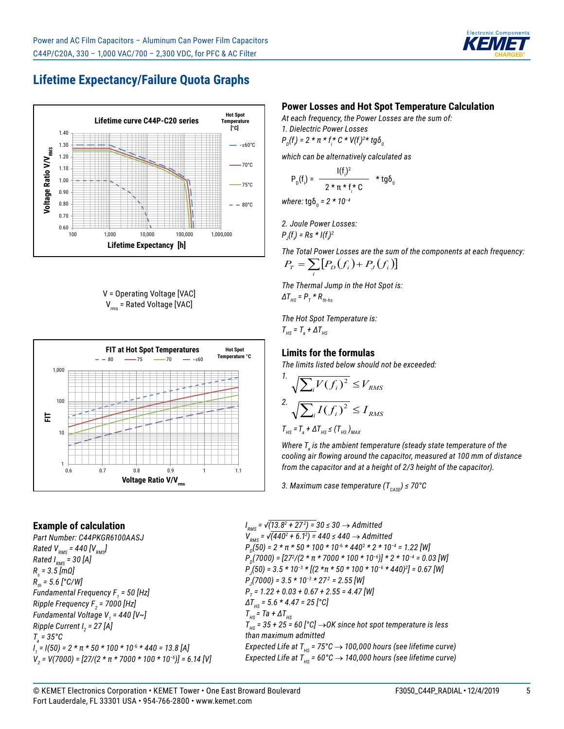

# **Lifetime Expectancy/Failure Quota Graphs**



V = Operating Voltage [VAC]  $V_{rms}$  = Rated Voltage [VAC]



### **Example of calculation**

*Part Number: C44PKGR6100AASJ Rated V<sub>RMS</sub>* = 440 [ $V_{RMS}$ ] *Rated I<sub>RMS</sub>* = 30 [A] *Rs = 3.5 [mΩ] Rth = 5.6 [°C/W] Fundamental Frequency F1 = 50 [Hz] Ripple Frequency F2 = 7000 [Hz] Fundamental Voltage V1 = 440 [V~] Ripple Current I2 = 27 [A] Ta = 35°C I 1 = I(50) = 2 \* π \* 50 \* 100 \* 10*-6 *\* 440 = 13.8 [A] V2 = V(7000) = [27/(2 \* π \* 7000 \* 100 \* 10*<sup>−</sup>*<sup>6</sup> )] = 6.14 [V]*

### **Power Losses and Hot Spot Temperature Calculation**

*At each frequency, the Power Losses are the sum of:*

*1. Dielectric Power Losses*  $P_p(f) = 2 * π * f_i * C * V(f_i)^{2*} t g \delta_0$ 

*which can be alternatively calculated as*

$$
P_{D}(f_{i}) = \frac{I(f_{i})^{2}}{2 \star \pi \star f_{i} \star C} \star t g \delta_{0}
$$

*where:* tgδ<sub>0</sub> = 2 \* 10<sup>−4</sup>

*2. Joule Power Losses: PJ (fi ) = Rs \* I(fi ) 2*

*The Total Power Losses are the sum of the components at each frequency:*  $P_T = \sum_i [P_D(f_i) + P_J(f_i)]$ 

*The Thermal Jump in the Hot Spot is:*  $\Delta T_{_{HS}}$  =  $P_{_T}$  \*  $R_{_{th-hs}}$ 

*The Hot Spot Temperature is:*  $T_{HS}$  =  $T_a$  +  $\Delta T_{HS}$ 

#### **Limits for the formulas**

*The limits listed below should not be exceeded:*

$$
1. \sqrt{\sum_{i} V(f_i)^2} \le V_{RMS}
$$
  

$$
2. \sqrt{\sum_{i} I(f_i)^2} \le I_{RMS}
$$
  

$$
T_{HS} = T_a + \Delta T_{HS} \le (T_{HS})_{MAX}
$$

Where T<sub>a</sub> is the ambient temperature (steady state temperature of the *cooling air flowing around the capacitor, measured at 100 mm of distance from the capacitor and at a height of 2/3 height of the capacitor).*

*3. Maximum case temperature (T<sub>CASE</sub>) ≤ 70°C* 

*I RMS = √(13.8<sup>2</sup> + 27<sup>2</sup> ) = 30 ≤ 30* → *Admitted V<sub>RMS</sub>* = √(440<sup>2</sup> + 6.1<sup>2</sup>) = 440 ≤ 440 → Admitted *P*<sub>D</sub>(50) = 2 \* π \* 50 \* 100 \* 10<sup>-6</sup> \* 440<sup>2</sup> \* 2 \* 10<sup>-4</sup> = 1.22 [W] *PD(7000) = [27<sup>2</sup> /(2 \* π \* 7000 \* 100 \* 10*<sup>−</sup>*<sup>6</sup> )] \* 2 \* 10*<sup>−</sup>*<sup>4</sup> = 0.03 [W] PJ (50) = 3.5 \* 10*<sup>−</sup>*<sup>3</sup> \* [(2 \*π \* 50 \* 100 \* 10*<sup>−</sup>*<sup>6</sup> \* 440)2 ] = 0.67 [W] PJ (7000) = 3.5 \* 10*<sup>−</sup>*<sup>3</sup> \* 272 = 2.55 [W] PT = 1.22 + 0.03 + 0.67 + 2.55 = 4.47 [W] ΔT<sub>HS</sub>* = 5.6 \* 4.47 = 25 [°C]  $T_{HS}$  = Ta +  $\Delta T_{HS}$  $T_{\text{Hs}}$  = 35 + 25 = 60 [°C]  $\rightarrow$  OK since hot spot temperature is less *than maximum admitted Expected Life at T<sub>HS</sub>* = 75°C  $\rightarrow$  100,000 hours (see lifetime curve) *Expected Life at T<sub>HS</sub>* =  $60^{\circ}$ C  $\rightarrow$  140,000 hours (see lifetime curve)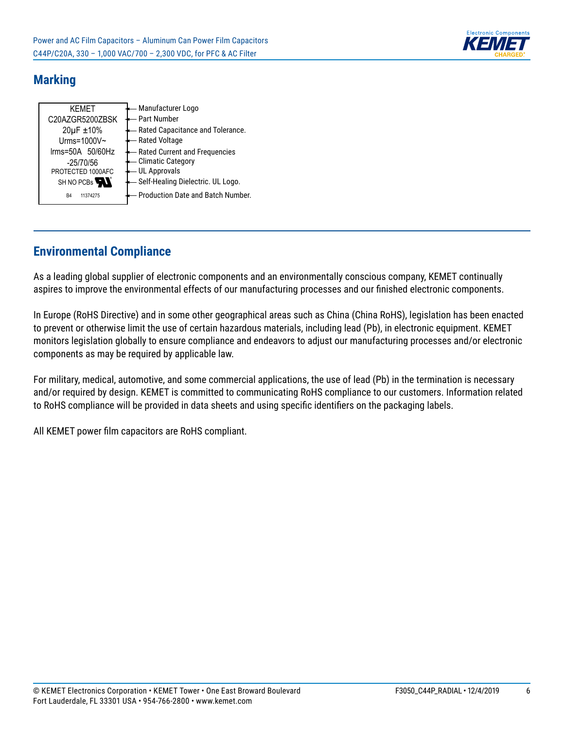

### **Marking**

| <b>KFMFT</b><br>C20AZGR5200ZBSK<br>20µF ±10% | Manufacturer Logo<br><b>Part Number</b><br>Rated Capacitance and Tolerance. |
|----------------------------------------------|-----------------------------------------------------------------------------|
| Urms=1000V~                                  | <b>Rated Voltage</b>                                                        |
| $\text{lrms=50A}$ 50/60Hz                    | Rated Current and Frequencies                                               |
| $-25/70/56$                                  | <b>Climatic Category</b>                                                    |
| PROTECTED 1000AFC                            | <b>UL Approvals</b>                                                         |
| SH NO PCBs                                   | Self-Healing Dielectric. UL Logo.                                           |
| B4<br>11374275                               | Production Date and Batch Number.                                           |

# **Environmental Compliance**

As a leading global supplier of electronic components and an environmentally conscious company, KEMET continually aspires to improve the environmental effects of our manufacturing processes and our finished electronic components.

In Europe (RoHS Directive) and in some other geographical areas such as China (China RoHS), legislation has been enacted to prevent or otherwise limit the use of certain hazardous materials, including lead (Pb), in electronic equipment. KEMET monitors legislation globally to ensure compliance and endeavors to adjust our manufacturing processes and/or electronic components as may be required by applicable law.

For military, medical, automotive, and some commercial applications, the use of lead (Pb) in the termination is necessary and/or required by design. KEMET is committed to communicating RoHS compliance to our customers. Information related to RoHS compliance will be provided in data sheets and using specific identifiers on the packaging labels.

All KEMET power film capacitors are RoHS compliant.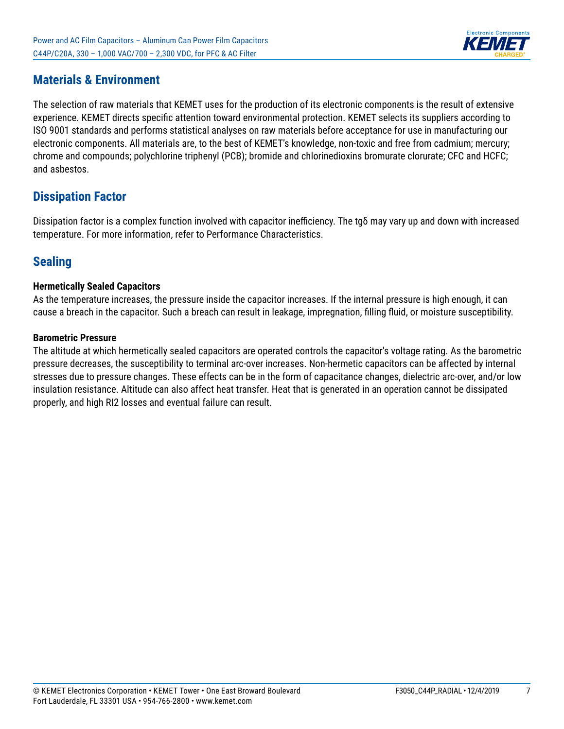

### **Materials & Environment**

The selection of raw materials that KEMET uses for the production of its electronic components is the result of extensive experience. KEMET directs specific attention toward environmental protection. KEMET selects its suppliers according to ISO 9001 standards and performs statistical analyses on raw materials before acceptance for use in manufacturing our electronic components. All materials are, to the best of KEMET's knowledge, non-toxic and free from cadmium; mercury; chrome and compounds; polychlorine triphenyl (PCB); bromide and chlorinedioxins bromurate clorurate; CFC and HCFC; and asbestos.

### **Dissipation Factor**

Dissipation factor is a complex function involved with capacitor inefficiency. The tgδ may vary up and down with increased temperature. For more information, refer to Performance Characteristics.

### **Sealing**

### **Hermetically Sealed Capacitors**

As the temperature increases, the pressure inside the capacitor increases. If the internal pressure is high enough, it can cause a breach in the capacitor. Such a breach can result in leakage, impregnation, filling fluid, or moisture susceptibility.

### **Barometric Pressure**

The altitude at which hermetically sealed capacitors are operated controls the capacitor's voltage rating. As the barometric pressure decreases, the susceptibility to terminal arc-over increases. Non-hermetic capacitors can be affected by internal stresses due to pressure changes. These effects can be in the form of capacitance changes, dielectric arc-over, and/or low insulation resistance. Altitude can also affect heat transfer. Heat that is generated in an operation cannot be dissipated properly, and high RI2 losses and eventual failure can result.